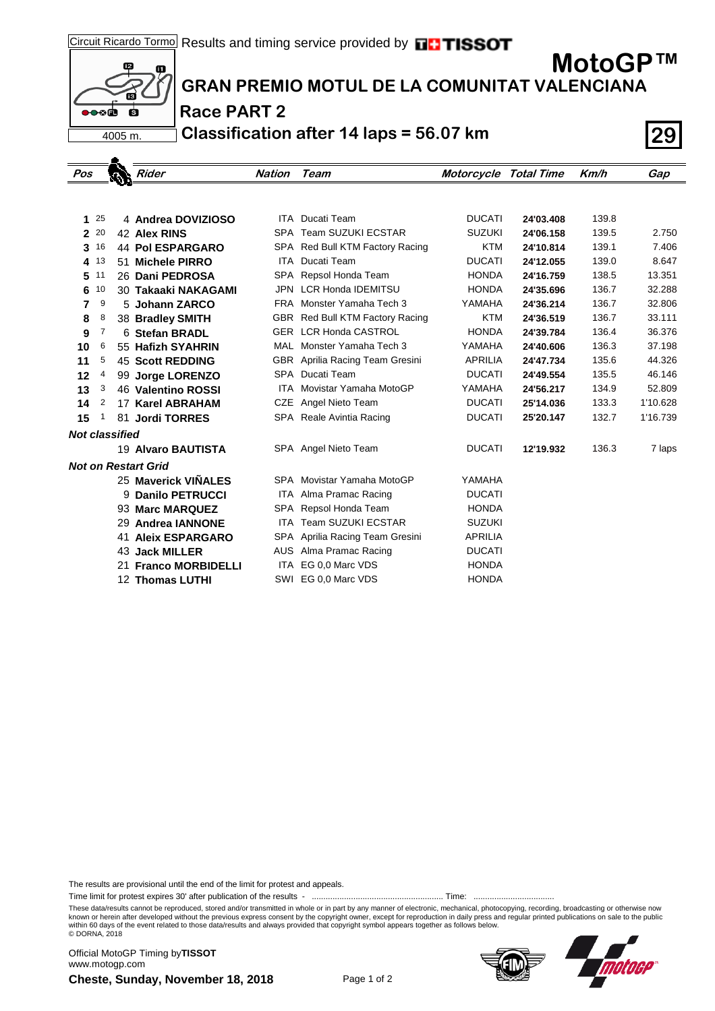

**MotoGP™**



## **GRAN PREMIO MOTUL DE LA COMUNITAT VALENCIANA**

## **Race PART 2**

**Classification after 14 laps = 56.07 km 29**

| Pos                        |     |  |  | <b>Rider</b>              | Nation     | Team                                   | <b>Motorcycle Total Time</b> |           | Km/h  | Gap      |
|----------------------------|-----|--|--|---------------------------|------------|----------------------------------------|------------------------------|-----------|-------|----------|
|                            |     |  |  |                           |            |                                        |                              |           |       |          |
|                            |     |  |  |                           |            |                                        |                              |           |       |          |
| 1                          | -25 |  |  | 4 Andrea DOVIZIOSO        |            | <b>ITA</b> Ducati Team                 | <b>DUCATI</b>                | 24'03.408 | 139.8 |          |
| $\mathbf{2}$               | 20  |  |  | 42 Alex RINS              |            | SPA Team SUZUKI ECSTAR                 | <b>SUZUKI</b>                | 24'06.158 | 139.5 | 2.750    |
| 3                          | 16  |  |  | <b>44 Pol ESPARGARO</b>   |            | SPA Red Bull KTM Factory Racing        | <b>KTM</b>                   | 24'10.814 | 139.1 | 7.406    |
| 4                          | 13  |  |  | 51 Michele PIRRO          |            | ITA Ducati Team                        | <b>DUCATI</b>                | 24'12.055 | 139.0 | 8.647    |
| 5                          | 11  |  |  | 26 Dani PEDROSA           | SPA        | Repsol Honda Team                      | <b>HONDA</b>                 | 24'16.759 | 138.5 | 13.351   |
| 6                          | 10  |  |  | 30 Takaaki NAKAGAMI       | <b>JPN</b> | <b>LCR Honda IDEMITSU</b>              | <b>HONDA</b>                 | 24'35.696 | 136.7 | 32.288   |
| 7                          | 9   |  |  | 5 Johann ZARCO            |            | FRA Monster Yamaha Tech 3              | YAMAHA                       | 24'36.214 | 136.7 | 32.806   |
| 8                          | 8   |  |  | 38 Bradley SMITH          |            | GBR Red Bull KTM Factory Racing        | <b>KTM</b>                   | 24'36.519 | 136.7 | 33.111   |
| 9                          | 7   |  |  | 6 Stefan BRADL            |            | <b>GER LCR Honda CASTROL</b>           | <b>HONDA</b>                 | 24'39.784 | 136.4 | 36.376   |
| 10                         | 6   |  |  | 55 Hafizh SYAHRIN         | MAL        | Monster Yamaha Tech 3                  | YAMAHA                       | 24'40.606 | 136.3 | 37.198   |
| 11                         | 5   |  |  | <b>45 Scott REDDING</b>   |            | <b>GBR</b> Aprilia Racing Team Gresini | <b>APRILIA</b>               | 24'47.734 | 135.6 | 44.326   |
| 12                         | 4   |  |  | 99 Jorge LORENZO          | SPA        | Ducati Team                            | <b>DUCATI</b>                | 24'49.554 | 135.5 | 46.146   |
| 13                         | 3   |  |  | 46 Valentino ROSSI        | ITA.       | Movistar Yamaha MotoGP                 | YAMAHA                       | 24'56.217 | 134.9 | 52.809   |
| 14                         | 2   |  |  | 17 Karel ABRAHAM          | CZE        | Angel Nieto Team                       | <b>DUCATI</b>                | 25'14.036 | 133.3 | 1'10.628 |
| 15                         | 1   |  |  | 81 Jordi TORRES           |            | SPA Reale Avintia Racing               | <b>DUCATI</b>                | 25'20.147 | 132.7 | 1'16.739 |
| <b>Not classified</b>      |     |  |  |                           |            |                                        |                              |           |       |          |
|                            |     |  |  | 19 Alvaro BAUTISTA        |            | SPA Angel Nieto Team                   | <b>DUCATI</b>                | 12'19.932 | 136.3 | 7 laps   |
| <b>Not on Restart Grid</b> |     |  |  |                           |            |                                        |                              |           |       |          |
|                            |     |  |  | 25 Maverick VIÑALES       |            | SPA Movistar Yamaha MotoGP             | YAMAHA                       |           |       |          |
|                            |     |  |  | 9 Danilo PETRUCCI         | ITA.       | Alma Pramac Racing                     | <b>DUCATI</b>                |           |       |          |
|                            |     |  |  | 93 Marc MARQUEZ           | SPA        | Repsol Honda Team                      | <b>HONDA</b>                 |           |       |          |
|                            |     |  |  | 29 Andrea IANNONE         | <b>ITA</b> | <b>Team SUZUKI ECSTAR</b>              | <b>SUZUKI</b>                |           |       |          |
|                            |     |  |  | <b>41 Aleix ESPARGARO</b> |            | SPA Aprilia Racing Team Gresini        | <b>APRILIA</b>               |           |       |          |
|                            |     |  |  | 43 Jack MILLER            | AUS        | Alma Pramac Racing                     | <b>DUCATI</b>                |           |       |          |
|                            |     |  |  | 21 Franco MORBIDELLI      | <b>ITA</b> | EG 0,0 Marc VDS                        | <b>HONDA</b>                 |           |       |          |
|                            |     |  |  | <b>12 Thomas LUTHI</b>    | SWI        | EG 0,0 Marc VDS                        | <b>HONDA</b>                 |           |       |          |

The results are provisional until the end of the limit for protest and appeals.

Time limit for protest expires 30' after publication of the results - ......................................................... Time: ...................................

These data/results cannot be reproduced, stored and/or transmitted in whole or in part by any manner of electronic, mechanical, photocopying, recording, broadcasting or otherwise now<br>known or herein after developed without within 60 days of the event related to those data/results and always provided that copyright symbol appears together as follows below. © DORNA, 2018

**Cheste, Sunday, November 18, 2018** Page 1 of 2 Official MotoGP Timing by **TISSOT**www.motogp.com